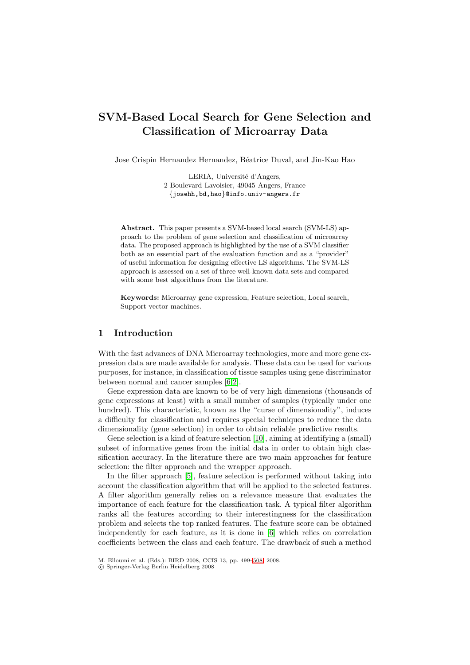# **SVM-Based Local Search for Gene Selection and Classification of Microarray Data**

Jose Crispin Hernandez Hernandez, Béatrice Duval, and Jin-Kao Hao

LERIA, Université d'Angers, 2 Boulevard Lavoisier, 49045 Angers, France {josehh,bd,hao}@info.univ-angers.fr

**Abstract.** This paper presents a SVM-based local search (SVM-LS) approach to the problem of gene selection and classification of microarray data. The proposed approach is highlighted by the use of a SVM classifier both as an essential part of the evaluation function and as a "provider" of useful information for designing effective LS algorithms. The SVM-LS approach is assessed on a set of three well-known data sets and compared with some best algorithms from the literature.

**Keywords:** Microarray gene expression, Feature selection, Local search, Support vector machines.

# **1 Introduction**

With the fast advances of DNA Microarray technologies, more and more gene expression data are made available for analysis. These data can be used for various purposes, for instance, in classification of tissue samples using gene discriminator between normal and cancer samples [\[6,](#page-9-0)[2\]](#page-9-1).

Gene expression data are known to be of very high dimensions (thousands of gene expressions at least) with a small number of samples (typically under one hundred). This characteristic, known as the "curse of dimensionality", induces a difficulty for classification and requires special techniques to reduce the data dimensionality (gene selection) in order to obtain reliable predictive results.

Gene selection is a kind of feature selection [\[10\]](#page-9-2), aiming at identifying a (small) subset of informative genes from the initial data in order to obtain high classification accuracy. In the literature there are two main approaches for feature selection: the filter approach and the wrapper approach.

In the filter approach [\[5\]](#page-9-3), feature selection is performed without taking into account the classification algorithm that will be applied to the selected features. A filter algorithm generally relies on a relevance measure that evaluates the importance of each feature for the classification task. A typical filter algorithm ranks all the features according to their interestingness for the classification problem and selects the top ranked features. The feature score can be obtained independently for each feature, as it is done in [\[6\]](#page-9-0) which relies on correlation coefficients between the class and each feature. The drawback of such a method

M. Elloumi et al. (Eds.): BIRD 2008, CCIS 13, pp. 499[–508,](#page-9-4) 2008.

<sup>-</sup>c Springer-Verlag Berlin Heidelberg 2008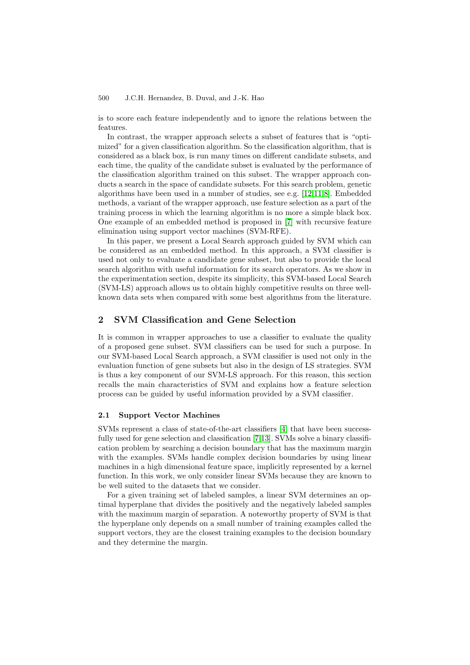#### 500 J.C.H. Hernandez, B. Duval, and J.-K. Hao

is to score each feature independently and to ignore the relations between the features.

In contrast, the wrapper approach selects a subset of features that is "optimized" for a given classification algorithm. So the classification algorithm, that is considered as a black box, is run many times on different candidate subsets, and each time, the quality of the candidate subset is evaluated by the performance of the classification algorithm trained on this subset. The wrapper approach conducts a search in the space of candidate subsets. For this search problem, genetic algorithms have been used in a number of studies, see e.g. [\[12](#page-9-5)[,11](#page-9-6)[,8\]](#page-9-7). Embedded methods, a variant of the wrapper approach, use feature selection as a part of the training process in which the learning algorithm is no more a simple black box. One example of an embedded method is proposed in [\[7\]](#page-9-8) with recursive feature elimination using support vector machines (SVM-RFE).

In this paper, we present a Local Search approach guided by SVM which can be considered as an embedded method. In this approach, a SVM classifier is used not only to evaluate a candidate gene subset, but also to provide the local search algorithm with useful information for its search operators. As we show in the experimentation section, despite its simplicity, this SVM-based Local Search (SVM-LS) approach allows us to obtain highly competitive results on three wellknown data sets when compared with some best algorithms from the literature.

# <span id="page-1-1"></span>**2 SVM Classification and Gene Selection**

It is common in wrapper approaches to use a classifier to evaluate the quality of a proposed gene subset. SVM classifiers can be used for such a purpose. In our SVM-based Local Search approach, a SVM classifier is used not only in the evaluation function of gene subsets but also in the design of LS strategies. SVM is thus a key component of our SVM-LS approach. For this reason, this section recalls the main characteristics of SVM and explains how a feature selection process can be guided by useful information provided by a SVM classifier.

### <span id="page-1-0"></span>**2.1 Support Vector Machines**

SVMs represent a class of state-of-the-art classifiers [\[4\]](#page-9-9) that have been successfully used for gene selection and classification [\[7](#page-9-8)[,13\]](#page-9-10). SVMs solve a binary classification problem by searching a decision boundary that has the maximum margin with the examples. SVMs handle complex decision boundaries by using linear machines in a high dimensional feature space, implicitly represented by a kernel function. In this work, we only consider linear SVMs because they are known to be well suited to the datasets that we consider.

For a given training set of labeled samples, a linear SVM determines an optimal hyperplane that divides the positively and the negatively labeled samples with the maximum margin of separation. A noteworthy property of SVM is that the hyperplane only depends on a small number of training examples called the support vectors, they are the closest training examples to the decision boundary and they determine the margin.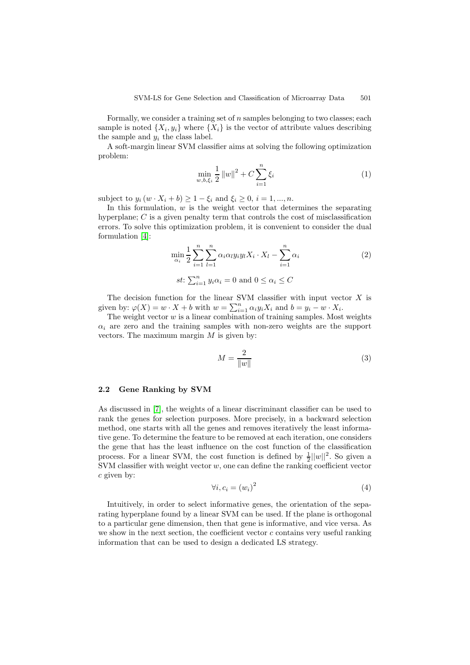Formally, we consider a training set of  $n$  samples belonging to two classes; each sample is noted  $\{X_i, y_i\}$  where  $\{X_i\}$  is the vector of attribute values describing the sample and  $y_i$  the class label.

A soft-margin linear SVM classifier aims at solving the following optimization problem:

$$
\min_{w,b,\xi_i} \frac{1}{2} \|w\|^2 + C \sum_{i=1}^n \xi_i
$$
 (1)

subject to  $y_i (w \cdot X_i + b) \ge 1 - \xi_i$  and  $\xi_i \ge 0, i = 1, ..., n$ .

In this formulation,  $w$  is the weight vector that determines the separating hyperplane;  $C$  is a given penalty term that controls the cost of misclassification errors. To solve this optimization problem, it is convenient to consider the dual formulation [\[4\]](#page-9-9):

$$
\min_{\alpha_i} \frac{1}{2} \sum_{i=1}^n \sum_{l=1}^n \alpha_i \alpha_l y_i y_l X_i \cdot X_l - \sum_{i=1}^n \alpha_i \tag{2}
$$

$$
st: \sum_{i=1}^{n} y_i \alpha_i = 0 \text{ and } 0 \le \alpha_i \le C
$$

The decision function for the linear SVM classifier with input vector  $X$  is given by:  $\varphi(X) = w \cdot X + b$  with  $w = \sum_{i=1}^{n} \alpha_i y_i X_i$  and  $b = y_i - w \cdot X_i$ .

The weight vector  $w$  is a linear combination of training samples. Most weights  $\alpha_i$  are zero and the training samples with non-zero weights are the support vectors. The maximum margin  $M$  is given by:

<span id="page-2-2"></span>
$$
M = \frac{2}{\|w\|} \tag{3}
$$

#### <span id="page-2-1"></span>**2.2 Gene Ranking by SVM**

As discussed in [\[7\]](#page-9-8), the weights of a linear discriminant classifier can be used to rank the genes for selection purposes. More precisely, in a backward selection method, one starts with all the genes and removes iteratively the least informative gene. To determine the feature to be removed at each iteration, one considers the gene that has the least influence on the cost function of the classification process. For a linear SVM, the cost function is defined by  $\frac{1}{2}||w||^2$ . So given a SVM classifier with weight vector  $w$ , one can define the ranking coefficient vector c given by:

<span id="page-2-0"></span>
$$
\forall i, c_i = (w_i)^2 \tag{4}
$$

Intuitively, in order to select informative genes, the orientation of the separating hyperplane found by a linear SVM can be used. If the plane is orthogonal to a particular gene dimension, then that gene is informative, and vice versa. As we show in the next section, the coefficient vector  $c$  contains very useful ranking information that can be used to design a dedicated LS strategy.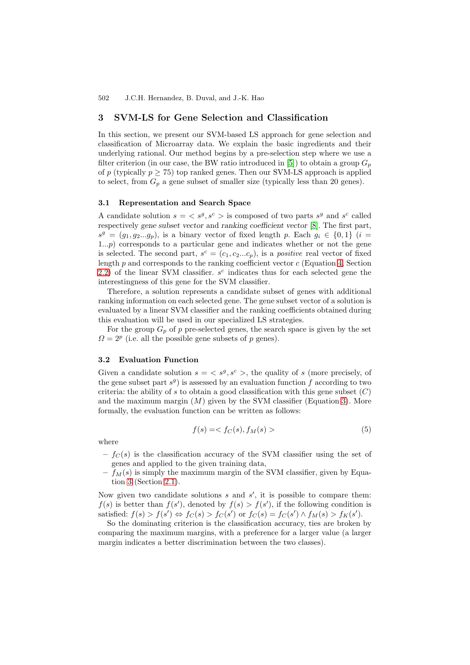502 J.C.H. Hernandez, B. Duval, and J.-K. Hao

# <span id="page-3-0"></span>**3 SVM-LS for Gene Selection and Classification**

In this section, we present our SVM-based LS approach for gene selection and classification of Microarray data. We explain the basic ingredients and their underlying rational. Our method begins by a pre-selection step where we use a filter criterion (in our case, the BW ratio introduced in [\[5\]](#page-9-3)) to obtain a group  $G_p$ of p (typically  $p \geq 75$ ) top ranked genes. Then our SVM-LS approach is applied to select, from  $G_p$  a gene subset of smaller size (typically less than 20 genes).

#### **3.1 Representation and Search Space**

A candidate solution  $s = \langle s^g, s^c \rangle$  is composed of two parts  $s^g$  and  $s^c$  called respectively *gene subset vector* and *ranking coefficient vector* [\[8\]](#page-9-7). The first part,  $s^g = (g_1, g_2...g_p)$ , is a binary vector of fixed length p. Each  $g_i \in \{0,1\}$  (i =  $1...p$ ) corresponds to a particular gene and indicates whether or not the gene is selected. The second part,  $s^c = (c_1, c_2...c_p)$ , is a *positive* real vector of fixed length  $p$  and corresponds to the ranking coefficient vector  $c$  (Equation [4,](#page-2-0) Section [2.2\)](#page-2-1) of the linear SVM classifier.  $s^c$  indicates thus for each selected gene the interestingness of this gene for the SVM classifier.

Therefore, a solution represents a candidate subset of genes with additional ranking information on each selected gene. The gene subset vector of a solution is evaluated by a linear SVM classifier and the ranking coefficients obtained during this evaluation will be used in our specialized LS strategies.

For the group  $G_p$  of p pre-selected genes, the search space is given by the set  $\Omega = 2^p$  (i.e. all the possible gene subsets of p genes).

#### **3.2 Evaluation Function**

Given a candidate solution  $s = \langle s^g, s^c \rangle$ , the quality of s (more precisely, of the gene subset part  $s^g$ ) is assessed by an evaluation function f according to two criteria: the ability of s to obtain a good classification with this gene subset  $(C)$ and the maximum margin  $(M)$  given by the SVM classifier (Equation [3\)](#page-2-2). More formally, the evaluation function can be written as follows:

$$
f(s) = \langle f_C(s), f_M(s) \rangle \tag{5}
$$

<span id="page-3-1"></span>where

- $f_C(s)$  is the classification accuracy of the SVM classifier using the set of genes and applied to the given training data,
- $f<sub>M</sub>(s)$  is simply the maximum margin of the SVM classifier, given by Equation [3](#page-2-2) (Section [2.1\)](#page-1-0).

Now given two candidate solutions  $s$  and  $s'$ , it is possible to compare them:  $f(s)$  is better than  $f(s')$ , denoted by  $f(s) > f(s')$ , if the following condition is satisfied:  $f(s) > f(s') \Leftrightarrow f_C(s) > f_C(s')$  or  $f_C(s) = f_C(s') \wedge f_M(s) > f_K(s')$ .

So the dominating criterion is the classification accuracy, ties are broken by comparing the maximum margins, with a preference for a larger value (a larger margin indicates a better discrimination between the two classes).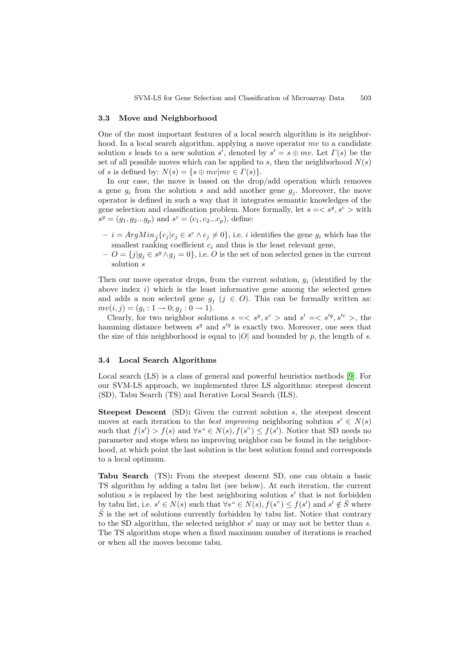#### **3.3 Move and Neighborhood**

One of the most important features of a local search algorithm is its neighborhood. In a local search algorithm, applying a move operator  $mv$  to a candidate solution s leads to a new solution s', denoted by  $s' = s \oplus mv$ . Let  $\Gamma(s)$  be the set of all possible moves which can be applied to s, then the neighborhood  $N(s)$ of s is defined by:  $N(s) = \{s \oplus mv | mv \in \Gamma(s)\}.$ 

In our case, the move is based on the drop/add operation which removes a gene  $g_i$  from the solution s and add another gene  $g_i$ . Moreover, the move operator is defined in such a way that it integrates semantic knowledges of the gene selection and classification problem. More formally, let  $s = \langle s^g, s^c \rangle$  with  $s^g = (g_1, g_2...g_p)$  and  $s^c = (c_1, c_2...c_p)$ , define:

- $− i = ArgMin_j{c_j|c_j \in s^c \land c_j \neq 0},$  i.e. *i* identifies the gene  $g_i$  which has the smallest ranking coefficient  $c_i$  and thus is the least relevant gene,
- $− O = {j|g<sub>j</sub> ∈ s<sup>g</sup> ∧ g<sub>j</sub> = 0}, i.e. O is the set of non selected genes in the current$ solution s

Then our move operator drops, from the current solution,  $g_i$  (identified by the above index  $i$ ) which is the least informative gene among the selected genes and adds a non selected gene  $g_i$  ( $j \in O$ ). This can be formally written as:  $mv(i, j) = (g_i : 1 \rightarrow 0; g_j : 0 \rightarrow 1).$ 

Clearly, for two neighbor solutions  $s = \langle s^g, s^c \rangle$  and  $s' = \langle s'^g, s'^c \rangle$ , the hamming distance between  $s<sup>g</sup>$  and  $s<sup>'g</sup>$  is exactly two. Moreover, one sees that the size of this neighborhood is equal to  $|O|$  and bounded by p, the length of s.

#### **3.4 Local Search Algorithms**

Local search (LS) is a class of general and powerful heuristics methods [\[9\]](#page-9-11). For our SVM-LS approach, we implemented three LS algorithms: steepest descent (SD), Tabu Search (TS) and Iterative Local Search (ILS).

**Steepest Descent** (SD): Given the current solution s, the steepest descent moves at each iteration to the *best improving* neighboring solution  $s' \in N(s)$ such that  $f(s') > f(s)$  and  $\forall s'' \in N(s)$ ,  $f(s'') \leq f(s')$ . Notice that SD needs no parameter and stops when no improving neighbor can be found in the neighborhood, at which point the last solution is the best solution found and corresponds to a local optimum.

**Tabu Search** (TS)**:** From the steepest descent SD, one can obtain a basic TS algorithm by adding a tabu list (see below). At each iteration, the current solution s is replaced by the best neighboring solution  $s'$  that is not forbidden by tabu list, i.e.  $s' \in N(s)$  such that  $\forall s'' \in N(s)$ ,  $f(s'') \leq f(s')$  and  $s' \notin \overline{S}$  where  $\bar{S}$  is the set of solutions currently forbidden by tabu list. Notice that contrary to the SD algorithm, the selected neighbor  $s'$  may or may not be better than s. The TS algorithm stops when a fixed maximum number of iterations is reached or when all the moves become tabu.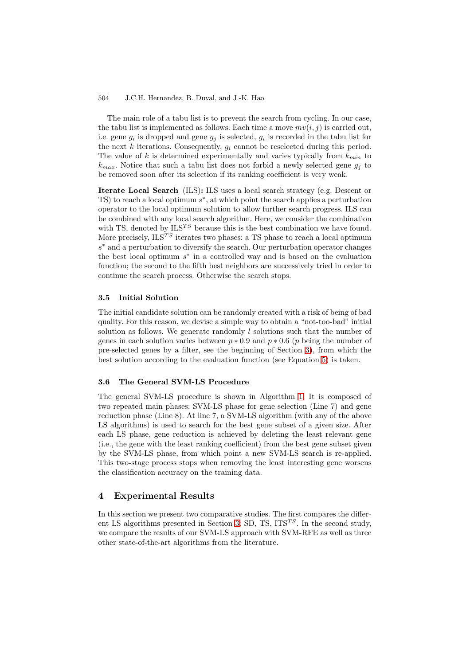#### 504 J.C.H. Hernandez, B. Duval, and J.-K. Hao

The main role of a tabu list is to prevent the search from cycling. In our case, the tabu list is implemented as follows. Each time a move  $mv(i,j)$  is carried out, i.e. gene  $g_i$  is dropped and gene  $g_j$  is selected,  $g_i$  is recorded in the tabu list for the next  $k$  iterations. Consequently,  $g_i$  cannot be reselected during this period. The value of k is determined experimentally and varies typically from  $k_{min}$  to  $k_{max}$ . Notice that such a tabu list does not forbid a newly selected gene  $g_i$  to be removed soon after its selection if its ranking coefficient is very weak.

**Iterate Local Search** (ILS)**:** ILS uses a local search strategy (e.g. Descent or TS) to reach a local optimum  $s^*$ , at which point the search applies a perturbation operator to the local optimum solution to allow further search progress. ILS can be combined with any local search algorithm. Here, we consider the combination with TS, denoted by  $ILS^{TS}$  because this is the best combination we have found. More precisely,  $ILS^{TS}$  iterates two phases: a TS phase to reach a local optimum s<sup>∗</sup> and a perturbation to diversify the search. Our perturbation operator changes the best local optimum  $s^*$  in a controlled way and is based on the evaluation function; the second to the fifth best neighbors are successively tried in order to continue the search process. Otherwise the search stops.

# <span id="page-5-0"></span>**3.5 Initial Solution**

The initial candidate solution can be randomly created with a risk of being of bad quality. For this reason, we devise a simple way to obtain a "not-too-bad" initial solution as follows. We generate randomly  $l$  solutions such that the number of genes in each solution varies between  $p * 0.9$  and  $p * 0.6$  (p being the number of pre-selected genes by a filter, see the beginning of Section [3\)](#page-3-0), from which the best solution according to the evaluation function (see Equation [5\)](#page-3-1) is taken.

# **3.6 The General SVM-LS Procedure**

The general SVM-LS procedure is shown in Algorithm [1.](#page-6-0) It is composed of two repeated main phases: SVM-LS phase for gene selection (Line 7) and gene reduction phase (Line 8). At line 7, a SVM-LS algorithm (with any of the above LS algorithms) is used to search for the best gene subset of a given size. After each LS phase, gene reduction is achieved by deleting the least relevant gene (i.e., the gene with the least ranking coefficient) from the best gene subset given by the SVM-LS phase, from which point a new SVM-LS search is re-applied. This two-stage process stops when removing the least interesting gene worsens the classification accuracy on the training data.

# **4 Experimental Results**

In this section we present two comparative studies. The first compares the differ-ent LS algorithms presented in Section [3:](#page-3-0) SD, TS,  $ITS^{TS}$ . In the second study, we compare the results of our SVM-LS approach with SVM-RFE as well as three other state-of-the-art algorithms from the literature.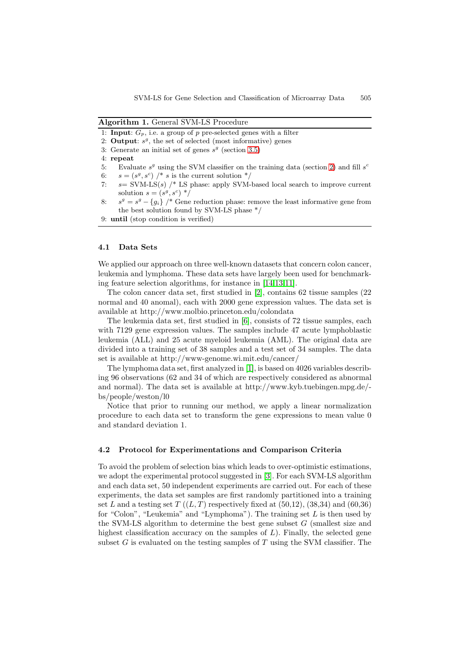# <span id="page-6-0"></span>**Algorithm 1.** General SVM-LS Procedure

- 1: **Input**:  $G_p$ , i.e. a group of p pre-selected genes with a filter
- 2: **Output**:  $s^g$ , the set of selected (most informative) genes
- 3: Generate an initial set of genes  $s^g$  (section [3.5\)](#page-5-0)

4: **repeat**

- 5: Evaluate  $s^g$  using the SVM classifier on the training data (section [2\)](#page-1-1) and fill  $s^c$
- 6:  $s = (s^g, s^c)$  /\* s is the current solution \*/
- 7:  $s = \text{SVM-LS}(s)$  /\* LS phase: apply SVM-based local search to improve current solution  $s = (s^g, s^c) *$
- 8:  $s^g = s^g \{g_i\}$  /\* Gene reduction phase: remove the least informative gene from the best solution found by SVM-LS phase \*/
- 9: **until** (stop condition is verified)

#### **4.1 Data Sets**

We applied our approach on three well-known datasets that concern colon cancer, leukemia and lymphoma. These data sets have largely been used for benchmarking feature selection algorithms, for instance in [\[14](#page-9-12)[,13](#page-9-10)[,11\]](#page-9-6).

The colon cancer data set, first studied in [\[2\]](#page-9-1), contains 62 tissue samples (22 normal and 40 anomal), each with 2000 gene expression values. The data set is available at http://www.molbio.princeton.edu/colondata

The leukemia data set, first studied in [\[6\]](#page-9-0), consists of 72 tissue samples, each with 7129 gene expression values. The samples include 47 acute lymphoblastic leukemia (ALL) and 25 acute myeloid leukemia (AML). The original data are divided into a training set of 38 samples and a test set of 34 samples. The data set is available at http://www-genome.wi.mit.edu/cancer/

The lymphoma data set, first analyzed in [\[1\]](#page-9-13), is based on 4026 variables describing 96 observations (62 and 34 of which are respectively considered as abnormal and normal). The data set is available at http://www.kyb.tuebingen.mpg.de/ bs/people/weston/l0

Notice that prior to running our method, we apply a linear normalization procedure to each data set to transform the gene expressions to mean value 0 and standard deviation 1.

# **4.2 Protocol for Experimentations and Comparison Criteria**

To avoid the problem of selection bias which leads to over-optimistic estimations, we adopt the experimental protocol suggested in [\[3\]](#page-9-14). For each SVM-LS algorithm and each data set, 50 independent experiments are carried out. For each of these experiments, the data set samples are first randomly partitioned into a training set L and a testing set  $T((L, T)$  respectively fixed at  $(50, 12)$ ,  $(38, 34)$  and  $(60, 36)$ for "Colon", "Leukemia" and "Lymphoma"). The training set  $L$  is then used by the SVM-LS algorithm to determine the best gene subset  $G$  (smallest size and highest classification accuracy on the samples of  $L$ ). Finally, the selected gene subset  $G$  is evaluated on the testing samples of  $T$  using the SVM classifier. The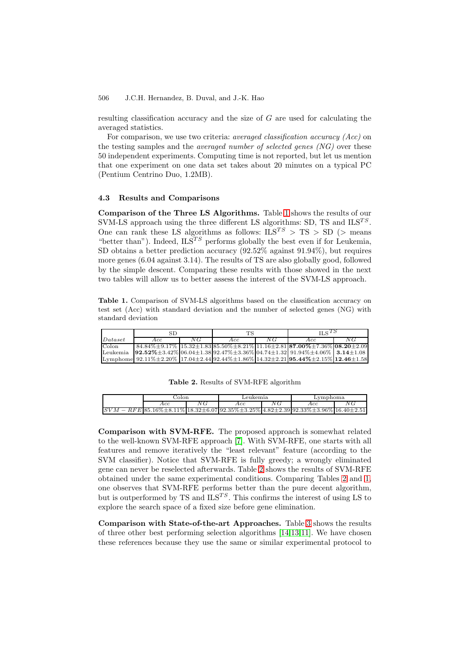resulting classification accuracy and the size of G are used for calculating the averaged statistics.

For comparison, we use two criteria: averaged classification accuracy (Acc) on the testing samples and the *averaged number of selected genes*  $(NG)$  over these 50 independent experiments. Computing time is not reported, but let us mention that one experiment on one data set takes about 20 minutes on a typical PC (Pentium Centrino Duo, 1.2MB).

#### **4.3 Results and Comparisons**

**Comparison of the Three LS Algorithms.** Table [1](#page-7-0) shows the results of our SVM-LS approach using the three different LS algorithms: SD, TS and  $ILS^{TS}$ . One can rank these LS algorithms as follows:  $\text{ILS}^{TS} > \text{TS} > \text{SD}$  (> means "better than"). Indeed,  $ILS<sup>TS</sup>$  performs globally the best even if for Leukemia, SD obtains a better prediction accuracy (92.52% against 91.94%), but requires more genes (6.04 against 3.14). The results of TS are also globally good, followed by the simple descent. Comparing these results with those showed in the next two tables will allow us to better assess the interest of the SVM-LS approach.

<span id="page-7-0"></span>**Table 1.** Comparison of SVM-LS algorithms based on the classification accuracy on test set (Acc) with standard deviation and the number of selected genes (NG) with standard deviation

|          | SD                                                                                                                                                    |              |      |         | $\mathbf{H}\mathbf{S}^{T\mathbf{S}}$ |       |  |
|----------|-------------------------------------------------------------------------------------------------------------------------------------------------------|--------------|------|---------|--------------------------------------|-------|--|
| Database | Acc.                                                                                                                                                  | $N$ ( $\div$ | Acc. | $N$ $G$ | Acc.                                 | $N$ G |  |
| Colon    | $84.84\% \pm 9.17\%$ $15.32 \pm 1.83$ $85.50\% \pm 8.21\%$ $11.16 \pm 2.81$ <b>87.00</b> % $\pm 7.36\%$ <b>08.20</b> $\pm 2.09$                       |              |      |         |                                      |       |  |
| Leukemia | $\left[92.52\% \pm 3.42\% \right] 06.04 \pm 1.38\right] 92.47\% \pm 3.36\% \left[04.74 \pm 1.32\right] 91.94\% \pm 4.06\% \left[3.14 \pm 1.08\right]$ |              |      |         |                                      |       |  |
|          | Lymphome 92.11% $\pm$ 2.20% 17.04 $\pm$ 2.44 92.44% $\pm$ 1.86% 14.32 $\pm$ 2.21 <b>95.44%</b> $\pm$ 2.15% 12.46 $\pm$ 1.58                           |              |      |         |                                      |       |  |

**Table 2.** Results of SVM-RFE algorithm

<span id="page-7-1"></span>

|          | ∶olon                                                                                                              |       | Leukemia |     | Lvmphoma |      |
|----------|--------------------------------------------------------------------------------------------------------------------|-------|----------|-----|----------|------|
|          | Acc                                                                                                                | V ( 7 | Acc      | N G | Acc      | IV G |
| $_{SVM}$ | $-$ RFE 85.16% $\pm$ 8.11% 18.32 $\pm$ 6.07 92.35% $\pm$ 3.25% 4.82 $\pm$ 2.39 92.33% $\pm$ 3.96% 16.40 $\pm$ 2.51 |       |          |     |          |      |

**Comparison with SVM-RFE.** The proposed approach is somewhat related to the well-known SVM-RFE approach [\[7\]](#page-9-8). With SVM-RFE, one starts with all features and remove iteratively the "least relevant" feature (according to the SVM classifier). Notice that SVM-RFE is fully greedy; a wrongly eliminated gene can never be reselected afterwards. Table [2](#page-7-1) shows the results of SVM-RFE obtained under the same experimental conditions. Comparing Tables [2](#page-7-1) and [1,](#page-7-0) one observes that SVM-RFE performs better than the pure decent algorithm, but is outperformed by TS and  $ILS^{TS}$ . This confirms the interest of using LS to explore the search space of a fixed size before gene elimination.

**Comparison with State-of-the-art Approaches.** Table [3](#page-8-0) shows the results of three other best performing selection algorithms [\[14](#page-9-12)[,13](#page-9-10)[,11\]](#page-9-6). We have chosen these references because they use the same or similar experimental protocol to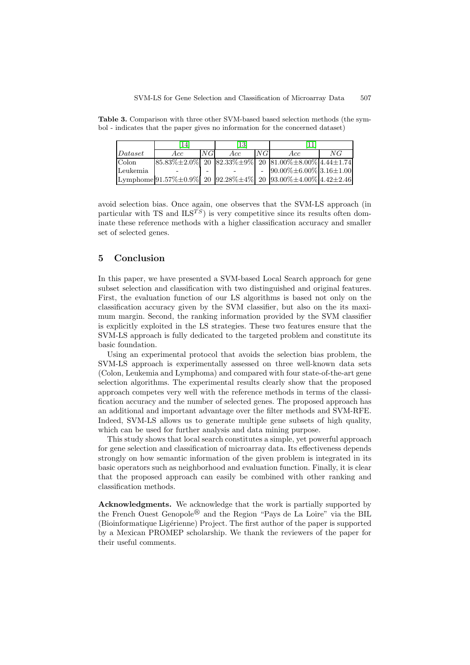bol - indicates that the paper gives no information for the concerned dataset)  $[14]$   $[13]$   $[11]$ 

<span id="page-8-0"></span>**Table 3.** Comparison with three other SVM-based based selection methods (the sym-

|          | 工生  |                 | 10 L |    |                                                                                       |    |
|----------|-----|-----------------|------|----|---------------------------------------------------------------------------------------|----|
| Data set | Acc | NG <sup>2</sup> | Acc  | NG | Acc                                                                                   | NG |
| Colon    |     |                 |      |    | $85.83\% \pm 2.0\%$ 20 $82.33\% \pm 9\%$ 20 $81.00\% \pm 8.00\%$ 4.44 $\pm 1.74$      |    |
| Leukemia |     |                 |      |    | $-$ 90.00% $\pm$ 6.00% 3.16 $\pm$ 1.00                                                |    |
|          |     |                 |      |    | Lymphome $91.57\% \pm 0.9\%$ 20 $92.28\% \pm 4\%$ 20 $93.00\% \pm 4.00\%$ 4.42 ± 2.46 |    |

avoid selection bias. Once again, one observes that the SVM-LS approach (in particular with TS and  $ILS^{TS}$ ) is very competitive since its results often dominate these reference methods with a higher classification accuracy and smaller set of selected genes.

# **5 Conclusion**

In this paper, we have presented a SVM-based Local Search approach for gene subset selection and classification with two distinguished and original features. First, the evaluation function of our LS algorithms is based not only on the classification accuracy given by the SVM classifier, but also on the its maximum margin. Second, the ranking information provided by the SVM classifier is explicitly exploited in the LS strategies. These two features ensure that the SVM-LS approach is fully dedicated to the targeted problem and constitute its basic foundation.

Using an experimental protocol that avoids the selection bias problem, the SVM-LS approach is experimentally assessed on three well-known data sets (Colon, Leukemia and Lymphoma) and compared with four state-of-the-art gene selection algorithms. The experimental results clearly show that the proposed approach competes very well with the reference methods in terms of the classification accuracy and the number of selected genes. The proposed approach has an additional and important advantage over the filter methods and SVM-RFE. Indeed, SVM-LS allows us to generate multiple gene subsets of high quality, which can be used for further analysis and data mining purpose.

This study shows that local search constitutes a simple, yet powerful approach for gene selection and classification of microarray data. Its effectiveness depends strongly on how semantic information of the given problem is integrated in its basic operators such as neighborhood and evaluation function. Finally, it is clear that the proposed approach can easily be combined with other ranking and classification methods.

**Acknowledgments.** We acknowledge that the work is partially supported by the French Ouest Genopole<sup>®</sup> and the Region "Pays de La Loire" via the BIL (Bioinformatique Ligérienne) Project. The first author of the paper is supported by a Mexican PROMEP scholarship. We thank the reviewers of the paper for their useful comments.